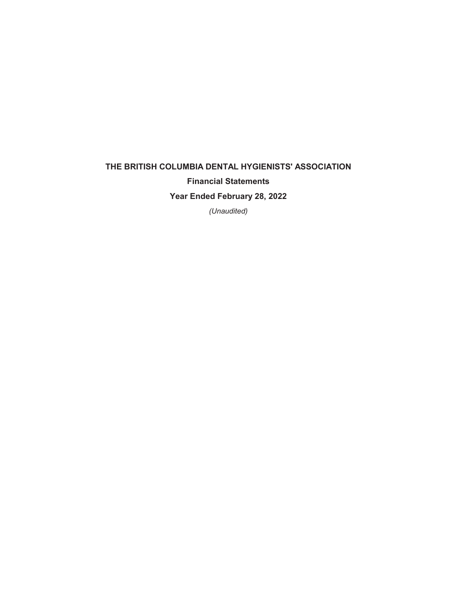# **THE BRITISH COLUMBIA DENTAL HYGIENISTS' ASSOCIATION Financial Statements Year Ended February 28, 2022**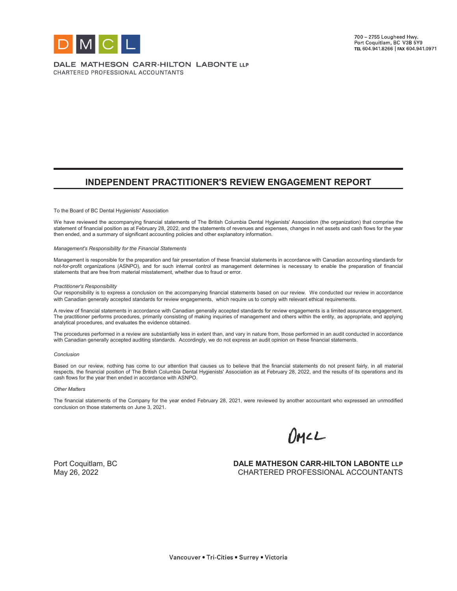

DALE MATHESON CARR-HILTON LABONTE LLP CHARTERED PROFESSIONAL ACCOUNTANTS

# **INDEPENDENT PRACTITIONER'S REVIEW ENGAGEMENT REPORT**

To the Board of BC Dental Hygienists' Association

We have reviewed the accompanying financial statements of The British Columbia Dental Hygienists' Association (the organization) that comprise the statement of financial position as at February 28, 2022, and the statements of revenues and expenses, changes in net assets and cash flows for the year then ended, and a summary of significant accounting policies and other explanatory information.

#### *Management's Responsibility for the Financial Statements*

Management is responsible for the preparation and fair presentation of these financial statements in accordance with Canadian accounting standards for not-for-profit organizations (ASNPO), and for such internal control as management determines is necessary to enable the preparation of financial statements that are free from material misstatement, whether due to fraud or error.

#### *Practitioner's Responsibility*

Our responsibility is to express a conclusion on the accompanying financial statements based on our review. We conducted our review in accordance with Canadian generally accepted standards for review engagements, which require us to comply with relevant ethical requirements.

A review of financial statements in accordance with Canadian generally accepted standards for review engagements is a limited assurance engagement. The practitioner performs procedures, primarily consisting of making inquiries of management and others within the entity, as appropriate, and applying analytical procedures, and evaluates the evidence obtained.

The procedures performed in a review are substantially less in extent than, and vary in nature from, those performed in an audit conducted in accordance with Canadian generally accepted auditing standards. Accordingly, we do not express an audit opinion on these financial statements.

#### *Conclusion*

Based on our review, nothing has come to our attention that causes us to believe that the financial statements do not present fairly, in all material respects, the financial position of The British Columbia Dental Hygienists' Association as at February 28, 2022, and the results of its operations and its cash flows for the year then ended in accordance with ASNPO.

#### *Other Matters*

The financial statements of the Company for the year ended February 28, 2021, were reviewed by another accountant who expressed an unmodified conclusion on those statements on June 3, 2021.

OMLL

Port Coquitlam, BC **DALE MATHESON CARR-HILTON LABONTE** LLP May 26, 2022 CHARTERED PROFESSIONAL ACCOUNTANTS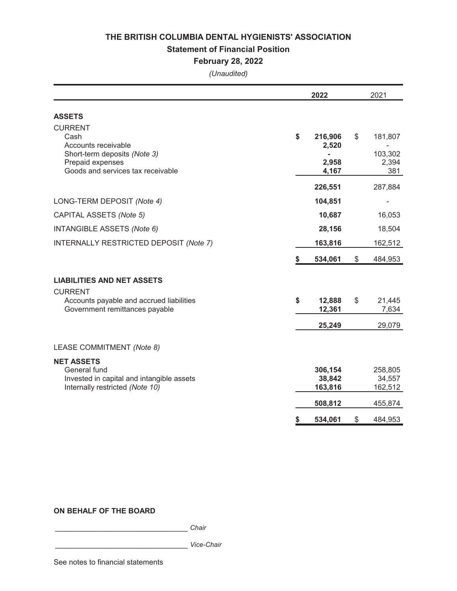### **Statement of Financial Position**

# **February 28, 2022**

*(Unaudited)*

|                                                                                                                                        |    | 2022                                                 | 2021                                     |
|----------------------------------------------------------------------------------------------------------------------------------------|----|------------------------------------------------------|------------------------------------------|
| <b>ASSETS</b>                                                                                                                          |    |                                                      |                                          |
| <b>CURRENT</b><br>Cash<br>Accounts receivable<br>Short-term deposits (Note 3)<br>Prepaid expenses<br>Goods and services tax receivable | \$ | 216,906<br>2,520<br>$\blacksquare$<br>2,958<br>4,167 | \$<br>181,807<br>103,302<br>2,394<br>381 |
|                                                                                                                                        |    | 226,551                                              | 287,884                                  |
| LONG-TERM DEPOSIT (Note 4)                                                                                                             |    | 104,851                                              |                                          |
| CAPITAL ASSETS (Note 5)                                                                                                                |    | 10,687                                               | 16,053                                   |
| <b>INTANGIBLE ASSETS (Note 6)</b>                                                                                                      |    | 28,156                                               | 18,504                                   |
| INTERNALLY RESTRICTED DEPOSIT (Note 7)                                                                                                 |    | 163,816                                              | 162,512                                  |
|                                                                                                                                        | S. | 534,061                                              | \$<br>484,953                            |
| <b>LIABILITIES AND NET ASSETS</b><br><b>CURRENT</b>                                                                                    |    |                                                      |                                          |
| Accounts payable and accrued liabilities<br>Government remittances payable                                                             | \$ | 12,888<br>12,361                                     | \$<br>21,445<br>7,634                    |
|                                                                                                                                        |    | 25,249                                               | 29,079                                   |
| LEASE COMMITMENT (Note 8)                                                                                                              |    |                                                      |                                          |
| <b>NET ASSETS</b><br>General fund<br>Invested in capital and intangible assets<br>Internally restricted (Note 10)                      |    | 306,154<br>38,842<br>163,816                         | 258,805<br>34,557<br>162,512             |
|                                                                                                                                        |    | 508,812                                              | 455,874                                  |
|                                                                                                                                        | \$ | 534,061                                              | \$<br>484,953                            |

# **ON BEHALF OF THE BOARD**

\_\_\_\_\_\_\_\_\_\_\_\_\_\_\_\_\_\_\_\_\_\_\_\_\_\_\_\_\_ *Chair*

\_\_\_\_\_\_\_\_\_\_\_\_\_\_\_\_\_\_\_\_\_\_\_\_\_\_\_\_\_ *Vice-Chair*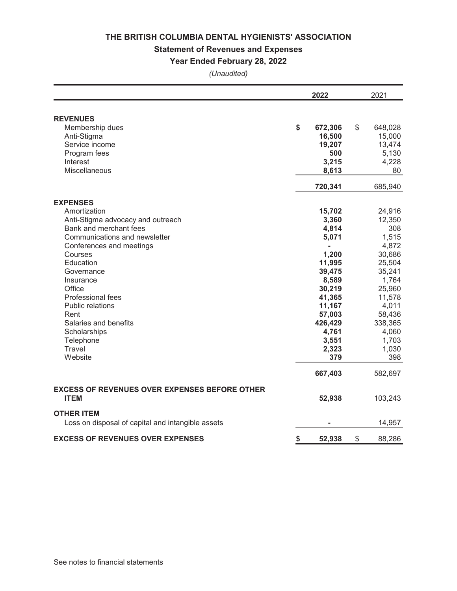# **Statement of Revenues and Expenses**

# **Year Ended February 28, 2022**

|                                                      | 2022          | 2021          |
|------------------------------------------------------|---------------|---------------|
| <b>REVENUES</b>                                      |               |               |
| Membership dues                                      | \$<br>672,306 | \$<br>648,028 |
| Anti-Stigma                                          | 16,500        | 15,000        |
| Service income                                       | 19,207        | 13,474        |
| Program fees                                         | 500           | 5,130         |
| Interest                                             | 3,215         | 4,228         |
| Miscellaneous                                        | 8,613         | 80            |
|                                                      | 720,341       | 685,940       |
| <b>EXPENSES</b>                                      |               |               |
| Amortization                                         | 15,702        | 24,916        |
| Anti-Stigma advocacy and outreach                    | 3,360         | 12,350        |
| Bank and merchant fees                               | 4,814         | 308           |
| Communications and newsletter                        | 5,071         | 1,515         |
| Conferences and meetings                             |               | 4,872         |
| Courses                                              | 1,200         | 30,686        |
| Education                                            | 11,995        | 25,504        |
| Governance                                           | 39,475        | 35,241        |
| Insurance                                            | 8,589         | 1,764         |
| Office                                               | 30,219        | 25,960        |
| Professional fees                                    | 41,365        | 11,578        |
| <b>Public relations</b>                              | 11,167        | 4,011         |
| Rent                                                 | 57,003        | 58,436        |
| Salaries and benefits                                | 426,429       | 338,365       |
| Scholarships                                         | 4,761         | 4,060         |
| Telephone                                            | 3,551         | 1,703         |
| Travel                                               | 2,323         | 1,030         |
| Website                                              | 379           | 398           |
|                                                      | 667,403       | 582,697       |
| <b>EXCESS OF REVENUES OVER EXPENSES BEFORE OTHER</b> |               |               |
| <b>ITEM</b>                                          | 52,938        | 103,243       |
| <b>OTHER ITEM</b>                                    |               |               |
| Loss on disposal of capital and intangible assets    |               | 14,957        |
| <b>EXCESS OF REVENUES OVER EXPENSES</b>              | \$<br>52,938  | \$<br>88,286  |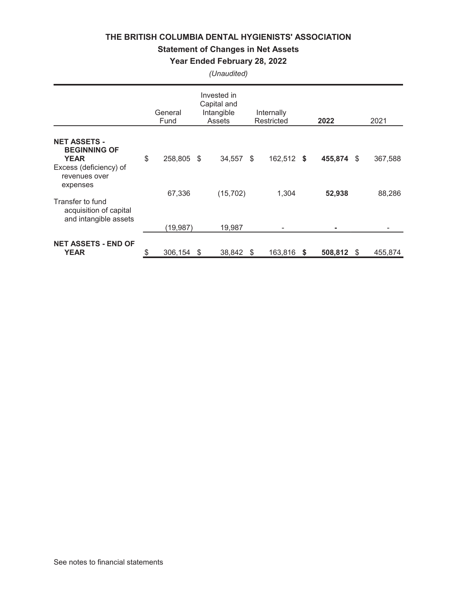# **Statement of Changes in Net Assets**

# **Year Ended February 28, 2022**

|                                                                     |    | General<br>Fund | Invested in<br>Capital and<br>Intangible<br>Assets | Internally<br>Restricted |     | 2022    |      | 2021    |
|---------------------------------------------------------------------|----|-----------------|----------------------------------------------------|--------------------------|-----|---------|------|---------|
| <b>NET ASSETS -</b><br><b>BEGINNING OF</b>                          |    |                 |                                                    |                          |     |         |      |         |
| <b>YEAR</b><br>Excess (deficiency) of<br>revenues over<br>expenses  | \$ | 258,805 \$      | 34,557                                             | \$<br>162,512 \$         |     | 455,874 | - \$ | 367,588 |
| Transfer to fund<br>acquisition of capital<br>and intangible assets |    | 67,336          | (15,702)                                           | 1,304                    |     | 52,938  |      | 88,286  |
|                                                                     |    | (19,987)        | 19,987                                             |                          |     | ۰       |      |         |
| <b>NET ASSETS - END OF</b><br><b>YEAR</b>                           | S  | 306,154         | \$<br>38,842                                       | \$<br>163,816            | - 5 | 508,812 | - \$ | 455,874 |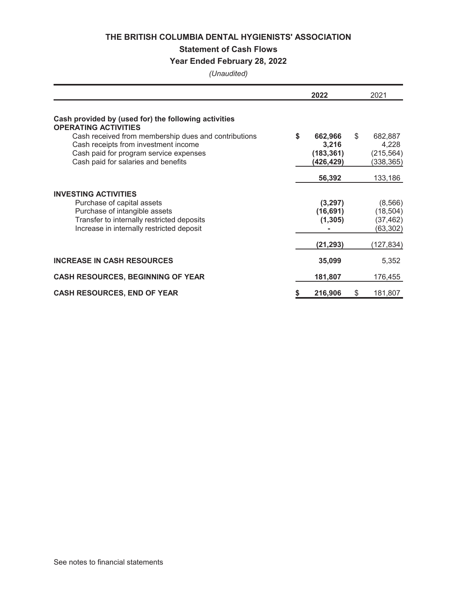# **Statement of Cash Flows**

# **Year Ended February 28, 2022**

|                                                                                                                                                                               | 2022                                              | 2021                                               |
|-------------------------------------------------------------------------------------------------------------------------------------------------------------------------------|---------------------------------------------------|----------------------------------------------------|
| Cash provided by (used for) the following activities<br><b>OPERATING ACTIVITIES</b>                                                                                           |                                                   |                                                    |
| Cash received from membership dues and contributions<br>Cash receipts from investment income<br>Cash paid for program service expenses<br>Cash paid for salaries and benefits | \$<br>662,966<br>3,216<br>(183, 361)<br>(426,429) | \$<br>682,887<br>4,228<br>(215, 564)<br>(338, 365) |
|                                                                                                                                                                               | 56,392                                            | 133,186                                            |
| <b>INVESTING ACTIVITIES</b>                                                                                                                                                   |                                                   |                                                    |
| Purchase of capital assets<br>Purchase of intangible assets<br>Transfer to internally restricted deposits<br>Increase in internally restricted deposit                        | (3,297)<br>(16, 691)<br>(1, 305)                  | (8, 566)<br>(18, 504)<br>(37, 462)<br>(63,302)     |
|                                                                                                                                                                               | (21, 293)                                         | (127, 834)                                         |
| <b>INCREASE IN CASH RESOURCES</b>                                                                                                                                             | 35,099                                            | 5,352                                              |
| <b>CASH RESOURCES, BEGINNING OF YEAR</b>                                                                                                                                      | 181,807                                           | 176,455                                            |
| <b>CASH RESOURCES, END OF YEAR</b>                                                                                                                                            | \$<br>216,906                                     | \$<br>181,807                                      |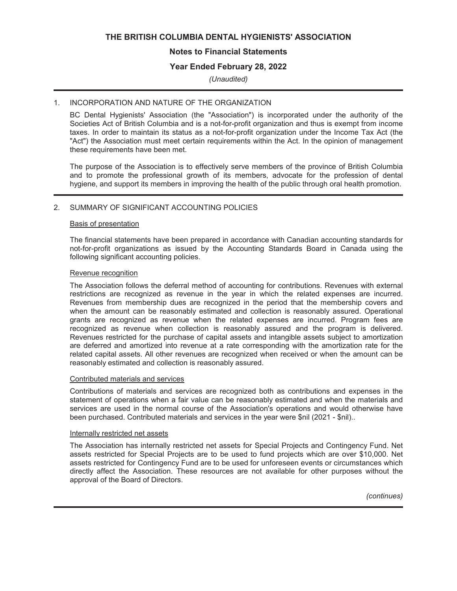# **Notes to Financial Statements**

# **Year Ended February 28, 2022**

### *(Unaudited)*

#### 1. INCORPORATION AND NATURE OF THE ORGANIZATION

BC Dental Hygienists' Association (the "Association") is incorporated under the authority of the Societies Act of British Columbia and is a not-for-profit organization and thus is exempt from income taxes. In order to maintain its status as a not-for-profit organization under the Income Tax Act (the "Act") the Association must meet certain requirements within the Act. In the opinion of management these requirements have been met.

The purpose of the Association is to effectively serve members of the province of British Columbia and to promote the professional growth of its members, advocate for the profession of dental hygiene, and support its members in improving the health of the public through oral health promotion.

# 2. SUMMARY OF SIGNIFICANT ACCOUNTING POLICIES

#### Basis of presentation

The financial statements have been prepared in accordance with Canadian accounting standards for not-for-profit organizations as issued by the Accounting Standards Board in Canada using the following significant accounting policies.

#### Revenue recognition

The Association follows the deferral method of accounting for contributions. Revenues with external restrictions are recognized as revenue in the year in which the related expenses are incurred. Revenues from membership dues are recognized in the period that the membership covers and when the amount can be reasonably estimated and collection is reasonably assured. Operational grants are recognized as revenue when the related expenses are incurred. Program fees are recognized as revenue when collection is reasonably assured and the program is delivered. Revenues restricted for the purchase of capital assets and intangible assets subject to amortization are deferred and amortized into revenue at a rate corresponding with the amortization rate for the related capital assets. All other revenues are recognized when received or when the amount can be reasonably estimated and collection is reasonably assured.

#### Contributed materials and services

Contributions of materials and services are recognized both as contributions and expenses in the statement of operations when a fair value can be reasonably estimated and when the materials and services are used in the normal course of the Association's operations and would otherwise have been purchased. Contributed materials and services in the year were \$nil (2021 - \$nil)..

#### Internally restricted net assets

The Association has internally restricted net assets for Special Projects and Contingency Fund. Net assets restricted for Special Projects are to be used to fund projects which are over \$10,000. Net assets restricted for Contingency Fund are to be used for unforeseen events or circumstances which directly affect the Association. These resources are not available for other purposes without the approval of the Board of Directors.

*(continues)*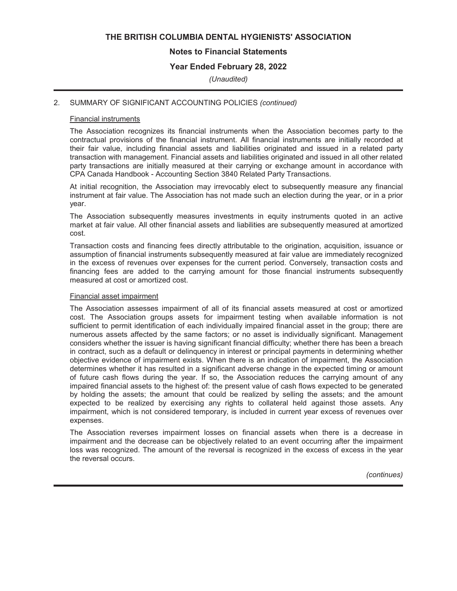# **Notes to Financial Statements**

# **Year Ended February 28, 2022**

*(Unaudited)*

#### 2. SUMMARY OF SIGNIFICANT ACCOUNTING POLICIES *(continued)*

#### Financial instruments

The Association recognizes its financial instruments when the Association becomes party to the contractual provisions of the financial instrument. All financial instruments are initially recorded at their fair value, including financial assets and liabilities originated and issued in a related party transaction with management. Financial assets and liabilities originated and issued in all other related party transactions are initially measured at their carrying or exchange amount in accordance with CPA Canada Handbook - Accounting Section 3840 Related Party Transactions.

At initial recognition, the Association may irrevocably elect to subsequently measure any financial instrument at fair value. The Association has not made such an election during the year, or in a prior year.

The Association subsequently measures investments in equity instruments quoted in an active market at fair value. All other financial assets and liabilities are subsequently measured at amortized cost.

Transaction costs and financing fees directly attributable to the origination, acquisition, issuance or assumption of financial instruments subsequently measured at fair value are immediately recognized in the excess of revenues over expenses for the current period. Conversely, transaction costs and financing fees are added to the carrying amount for those financial instruments subsequently measured at cost or amortized cost.

#### Financial asset impairment

The Association assesses impairment of all of its financial assets measured at cost or amortized cost. The Association groups assets for impairment testing when available information is not sufficient to permit identification of each individually impaired financial asset in the group; there are numerous assets affected by the same factors; or no asset is individually significant. Management considers whether the issuer is having significant financial difficulty; whether there has been a breach in contract, such as a default or delinquency in interest or principal payments in determining whether objective evidence of impairment exists. When there is an indication of impairment, the Association determines whether it has resulted in a significant adverse change in the expected timing or amount of future cash flows during the year. If so, the Association reduces the carrying amount of any impaired financial assets to the highest of: the present value of cash flows expected to be generated by holding the assets; the amount that could be realized by selling the assets; and the amount expected to be realized by exercising any rights to collateral held against those assets. Any impairment, which is not considered temporary, is included in current year excess of revenues over expenses.

The Association reverses impairment losses on financial assets when there is a decrease in impairment and the decrease can be objectively related to an event occurring after the impairment loss was recognized. The amount of the reversal is recognized in the excess of excess in the year the reversal occurs.

*(continues)*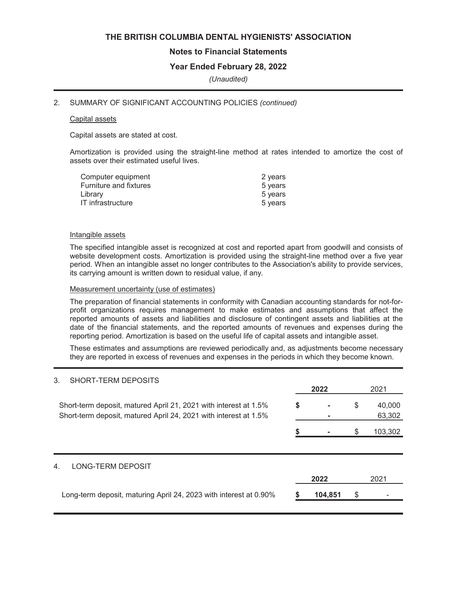# **Notes to Financial Statements**

# **Year Ended February 28, 2022**

*(Unaudited)*

#### 2. SUMMARY OF SIGNIFICANT ACCOUNTING POLICIES *(continued)*

#### Capital assets

Capital assets are stated at cost.

Amortization is provided using the straight-line method at rates intended to amortize the cost of assets over their estimated useful lives.

| 2 years |
|---------|
| 5 years |
| 5 years |
| 5 years |
|         |

#### Intangible assets

The specified intangible asset is recognized at cost and reported apart from goodwill and consists of website development costs. Amortization is provided using the straight-line method over a five year period. When an intangible asset no longer contributes to the Association's ability to provide services, its carrying amount is written down to residual value, if any.

#### Measurement uncertainty (use of estimates)

The preparation of financial statements in conformity with Canadian accounting standards for not-forprofit organizations requires management to make estimates and assumptions that affect the reported amounts of assets and liabilities and disclosure of contingent assets and liabilities at the date of the financial statements, and the reported amounts of revenues and expenses during the reporting period. Amortization is based on the useful life of capital assets and intangible asset.

These estimates and assumptions are reviewed periodically and, as adjustments become necessary they are reported in excess of revenues and expenses in the periods in which they become known.

#### 3. SHORT-TERM DEPOSITS

**2022** 2021 Short-term deposit, matured April 21, 2021 with interest at 1.5% **\$** - \$ 40,000 Short-term deposit, matured April 24, 2021 with interest at 1.5% **-** 63,302 **\$ -** \$ 103,302 4. LONG-TERM DEPOSIT **2022** 2021 Long-term deposit, maturing April 24, 2023 with interest at 0.90% **\$ 104,851** \$ -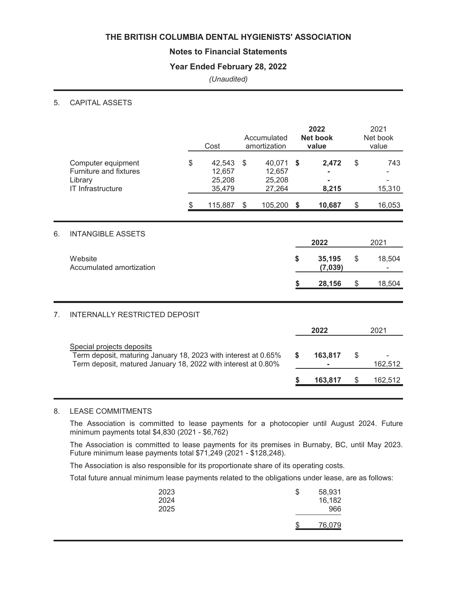# **Notes to Financial Statements**

# **Year Ended February 28, 2022**

# *(Unaudited)*

# 5. CAPITAL ASSETS

|    |                                                                                                                                                              | Cost                                       |                | Accumulated<br>amortization          | 2022<br><b>Net book</b><br>value |                   |                | 2021<br>Net book<br>value |  |  |
|----|--------------------------------------------------------------------------------------------------------------------------------------------------------------|--------------------------------------------|----------------|--------------------------------------|----------------------------------|-------------------|----------------|---------------------------|--|--|
|    | Computer equipment<br>Furniture and fixtures<br>Library<br>IT Infrastructure                                                                                 | \$<br>42,543<br>12,657<br>25,208<br>35,479 | $\mathfrak{S}$ | 40,071<br>12,657<br>25,208<br>27,264 | \$                               | 2,472<br>8,215    | \$             | 743<br>15,310             |  |  |
|    |                                                                                                                                                              | \$<br>115,887                              | \$             | 105,200                              | \$                               | 10,687            | \$             | 16,053                    |  |  |
| 6. | <b>INTANGIBLE ASSETS</b>                                                                                                                                     |                                            |                |                                      |                                  | 2022              |                | 2021                      |  |  |
|    | Website<br>Accumulated amortization                                                                                                                          |                                            |                |                                      | \$                               | 35,195<br>(7,039) | \$             | 18,504                    |  |  |
|    |                                                                                                                                                              |                                            |                |                                      | \$                               | 28,156            | $\$\$          | 18,504                    |  |  |
| 7. | <b>INTERNALLY RESTRICTED DEPOSIT</b>                                                                                                                         |                                            |                |                                      |                                  |                   |                |                           |  |  |
|    |                                                                                                                                                              |                                            |                |                                      |                                  | 2022              |                | 2021                      |  |  |
|    | Special projects deposits<br>Term deposit, maturing January 18, 2023 with interest at 0.65%<br>Term deposit, matured January 18, 2022 with interest at 0.80% |                                            |                |                                      | \$                               | 163,817           | \$             | 162,512                   |  |  |
|    |                                                                                                                                                              |                                            |                |                                      | S                                | 163,817           | $\mathfrak{S}$ | 162,512                   |  |  |
|    |                                                                                                                                                              |                                            |                |                                      |                                  |                   |                |                           |  |  |

# 8. LEASE COMMITMENTS

The Association is committed to lease payments for a photocopier until August 2024. Future minimum payments total \$4,830 (2021 - \$6,762)

The Association is committed to lease payments for its premises in Burnaby, BC, until May 2023. Future minimum lease payments total \$71,249 (2021 - \$128,248).

The Association is also responsible for its proportionate share of its operating costs.

Total future annual minimum lease payments related to the obligations under lease, are as follows:

| 2023<br>2024<br>2025 | \$<br>58,931<br>16,182<br>966 |
|----------------------|-------------------------------|
|                      | 76,079                        |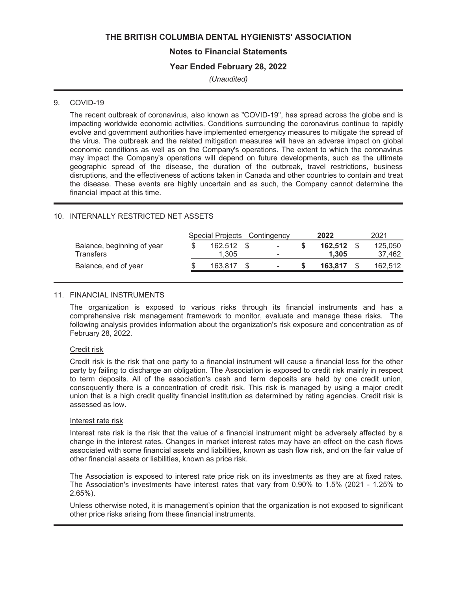# **Notes to Financial Statements**

# **Year Ended February 28, 2022**

*(Unaudited)*

# 9. COVID-19

The recent outbreak of coronavirus, also known as "COVID-19", has spread across the globe and is impacting worldwide economic activities. Conditions surrounding the coronavirus continue to rapidly evolve and government authorities have implemented emergency measures to mitigate the spread of the virus. The outbreak and the related mitigation measures will have an adverse impact on global economic conditions as well as on the Company's operations. The extent to which the coronavirus may impact the Company's operations will depend on future developments, such as the ultimate geographic spread of the disease, the duration of the outbreak, travel restrictions, business disruptions, and the effectiveness of actions taken in Canada and other countries to contain and treat the disease. These events are highly uncertain and as such, the Company cannot determine the financial impact at this time.

#### 10. INTERNALLY RESTRICTED NET ASSETS

|                            | Special Projects Contingency |                          | 2022    | 2021    |
|----------------------------|------------------------------|--------------------------|---------|---------|
| Balance, beginning of year | 162.512 \$                   | $\overline{\phantom{a}}$ | 162.512 | 125.050 |
| <b>Transfers</b>           | 1.305                        | ٠                        | 1.305   | 37,462  |
| Balance, end of year       | 163.817                      | ٠                        | 163.817 | 162,512 |

#### 11. FINANCIAL INSTRUMENTS

The organization is exposed to various risks through its financial instruments and has a comprehensive risk management framework to monitor, evaluate and manage these risks. The following analysis provides information about the organization's risk exposure and concentration as of February 28, 2022.

#### Credit risk

Credit risk is the risk that one party to a financial instrument will cause a financial loss for the other party by failing to discharge an obligation. The Association is exposed to credit risk mainly in respect to term deposits. All of the association's cash and term deposits are held by one credit union, consequently there is a concentration of credit risk. This risk is managed by using a major credit union that is a high credit quality financial institution as determined by rating agencies. Credit risk is assessed as low.

#### Interest rate risk

Interest rate risk is the risk that the value of a financial instrument might be adversely affected by a change in the interest rates. Changes in market interest rates may have an effect on the cash flows associated with some financial assets and liabilities, known as cash flow risk, and on the fair value of other financial assets or liabilities, known as price risk.

The Association is exposed to interest rate price risk on its investments as they are at fixed rates. The Association's investments have interest rates that vary from 0.90% to 1.5% (2021 - 1.25% to 2.65%).

Unless otherwise noted, it is management's opinion that the organization is not exposed to significant other price risks arising from these financial instruments.